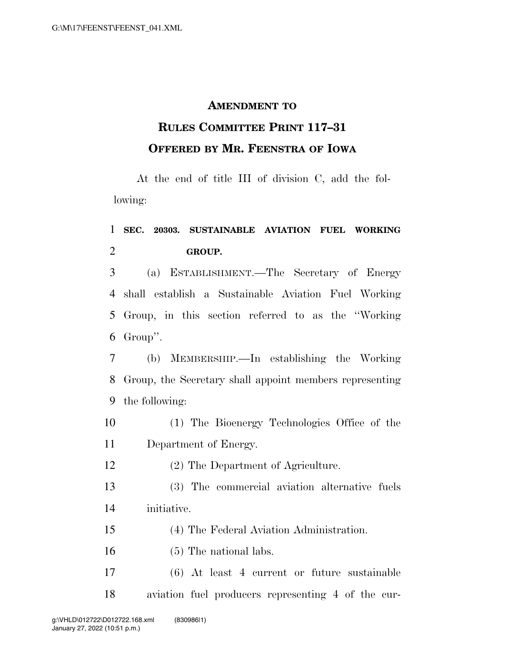## **AMENDMENT TO**

## **RULES COMMITTEE PRINT 117–31 OFFERED BY MR. FEENSTRA OF IOWA**

At the end of title III of division C, add the following:

## **SEC. 20303. SUSTAINABLE AVIATION FUEL WORKING GROUP.**

 (a) ESTABLISHMENT.—The Secretary of Energy shall establish a Sustainable Aviation Fuel Working Group, in this section referred to as the ''Working Group''.

 (b) MEMBERSHIP.—In establishing the Working Group, the Secretary shall appoint members representing the following:

- (1) The Bioenergy Technologies Office of the Department of Energy.
- (2) The Department of Agriculture.
- (3) The commercial aviation alternative fuels initiative.
- (4) The Federal Aviation Administration.
- (5) The national labs.
- (6) At least 4 current or future sustainable aviation fuel producers representing 4 of the cur-